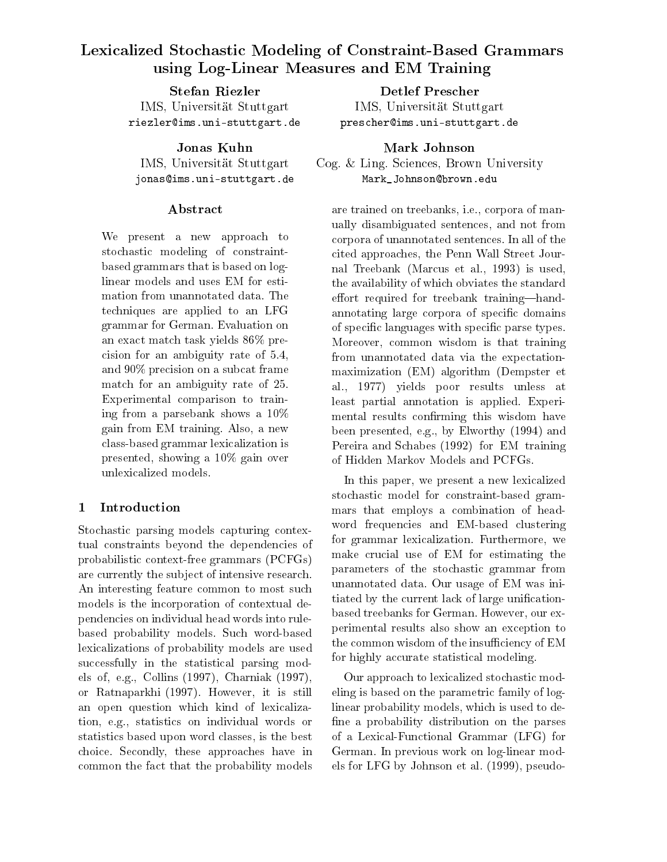# Lexicalized Stochastic Modeling of Constraint-Based Grammars using Log-Linear Measures and Emily Measures and Emily Measures and Emily Measures and Emily Measures and Emil

**Stefan Riezler** IMS, Universität Stuttgart riezler@ims.uni-stuttgart.de

Jonas Kuhn IMS, Universität Stuttgart jonas@ims.uni-stuttgart.de

### Abstract

We present a new approach to stochastic modeling of constraintbased grammars that is based on loglinear models and uses EM for estimation from unannotated data. The techniques are applied to an LFG grammar for German. Evaluation on an exact match task yields 86% precision for an ambiguity rate of 5.4, and 90% precision on a subcat frame match for an ambiguity rate of 25. Experimental comparison to training from a parsebank shows a 10% gain from EM training. Also, a new class-based grammar lexicalization is presented, showing a 10% gain over unlexicalized models.

## 1 Introduction

Stochastic parsing models capturing contextual constraints beyond the dependencies of probabilistic context-free grammars (PCFGs) are currently the subject of intensive research. An interesting feature common to most such models is the incorporation of contextual dependencies on individual head words into rulebased probability models. Such word-based lexicalizations of probability models are used successfully in the statistical parsing models of, e.g., Collins (1997), Charniak (1997), or Ratnaparkhi (1997). However, it is still an open question which kind of lexicalization, e.g., statistics on individual words or statistics based upon word classes, is the best choice. Secondly, these approaches have in common the fact that the probability models

**Detlef Prescher** IMS, Universität Stuttgart prescher@ims.uni-stuttgart.de

Mark Johnson Cog. & Ling. Sciences, Brown University Mark\_Johnson@brown.edu

are trained on treebanks, i.e., corpora of manually disambiguated sentences, and not from corpora of unannotated sentences. In all of the cited approaches, the Penn Wall Street Journal Treebank (Marcus et al., 1993) is used, the availability of which obviates the standard effort required for treebank training-handannotating large corpora of specific domains of specific languages with specific parse types. Moreover, common wisdom is that training from unannotated data via the expectationmaximization (EM) algorithm (Dempster et al., 1977) yields poor results unless at least partial annotation is applied. Experimental results confirming this wisdom have been presented, e.g., by Elworthy (1994) and Pereira and Schabes (1992) for EM training of Hidden Markov Models and PCFGs.

In this paper, we present a new lexicalized stochastic model for constraint-based grammars that employs a combination of headword frequencies and EM-based clustering for grammar lexicalization. Furthermore, we make crucial use of EM for estimating the parameters of the stochastic grammar from unannotated data. Our usage of EM was initiated by the current lack of large unificationbased treebanks for German. However, our experimental results also show an exception to the common wisdom of the insufficiency of EM for highly accurate statistical modeling.

Our approach to lexicalized stochastic modeling is based on the parametric family of loglinear probability models, which is used to de fine a probability distribution on the parses of a Lexical-Functional Grammar (LFG) for German. In previous work on log-linear models for LFG by Johnson et al. (1999), pseudo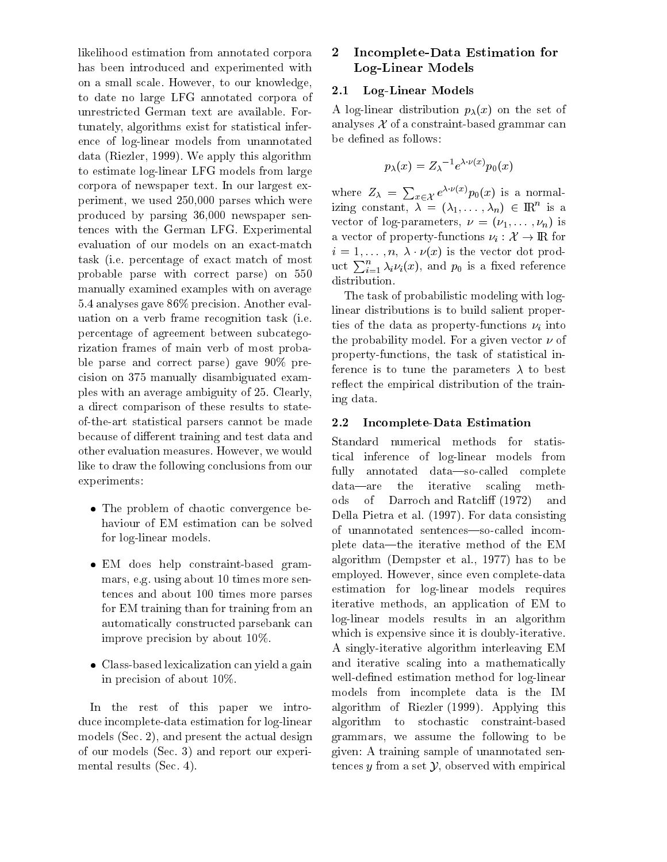likelihood estimation from annotated corpora 2 has been introduced and experimented with on a small scale. However, to our knowledge, to date no large LFG annotated corpora of unrestricted German text are available. Fortunately, algorithms exist for statistical inference of log-linear models from unannotated data (Riezler, 1999). We apply this algorithm to estimate log-linear LFG models from large corpora of newspaper text. In our largest experiment, we used 250,000 parses which were produced by parsing 36,000 newspaper sentences with the German LFG. Experimental evaluation of our models on an exact-match task (i.e. percentage of exact match of most probable parse with correct parse) on 550 manually examined examples with on average 5.4 analyses gave 86% precision. Another evaluation on a verb frame recognition task (i.e. percentage of agreement between subcategorization frames of main verb of most probable parse and correct parse) gave 90% precision on 375 manually disambiguated examples with an average ambiguity of 25. Clearly, a direct comparison of these results to stateof-the-art statistical parsers cannot be made because of different training and test data and other evaluation measures. However, we would like to draw the following conclusions from our fully experiments:

- The problem of chaotic convergence behaviour of EM estimation can be solved for log-linear models.
- EM does help constraint-based grammars, e.g. using about 10 times more sentences and about 100 times more parses for EM training than for training from an automatically constructed parsebank can improve precision by about 10%.
- Class-based lexicalization can yield a gain in precision of about 10%.

In the rest of this paper we introduce incomplete-data estimation for log-linear models (Sec. 2), and present the actual design of our models (Sec. 3) and report our experimental results (Sec. 4).

### 2 Incomplete-Data Estimation for Log-Linear Models

#### 2.1Log-Linear Models

A log-linear distribution  $p_{\lambda}(x)$  on the set of analyses  $\mathcal X$  of a constraint-based grammar can be defined as follows:

$$
p_\lambda(x)=Z_\lambda{}^{-1}e^{\lambda\cdot\nu(x)}p_0(x)
$$

where  $Z_{\lambda} = \sum_{x \in \mathcal{X}} e^{\lambda \cdot \nu(x)} p_0(x)$  is a normalizing constant,  $\lambda = (\lambda_1, \ldots, \lambda_n) \in \mathbb{R}$  is a vector of log-parameters,  $\nu = (\nu_1, \ldots, \nu_n)$  is a vector of property-functions  $\nu_i : \mathcal{X} \to \mathbb{R}$  for  $i = 1, \ldots, n, \lambda \cdot \nu(x)$  is the vector dot product  $\sum_{i=1}^n \lambda_i \nu_i(x)$ , and  $p_0$  is a fixed reference distribution.

The task of probabilistic modeling with loglinear distributions is to build salient properties of the data as property-functions  $\nu_i$  into the probability model. For a given vector  $\nu$  of property-functions, the task of statistical inference is to tune the parameters  $\lambda$  to best reflect the empirical distribution of the training data.

#### 2.2Incomplete-Data Estimation

Standard numerical methods for statistical inference of log-linear models from annotated data-so-called complete data—are the iterative scaling methods of Darroch and Ratcliff (1972) and Della Pietra et al. (1997). For data consisting of unannotated sentences-so-called incomplete data—the iterative method of the EM algorithm (Dempster et al., 1977) has to be employed. However, since even complete-data estimation for log-linear models requires iterative methods, an application of EM to log-linear models results in an algorithm which is expensive since it is doubly-iterative. A singly-iterative algorithm interleaving EM and iterative scaling into a mathematically well-defined estimation method for log-linear models from incomplete data is the IM algorithm of Riezler (1999). Applying this algorithm to stochastic constraint-based grammars, we assume the following to be given: A training sample of unannotated sentences y from a set  $\mathcal{Y}$ , observed with empirical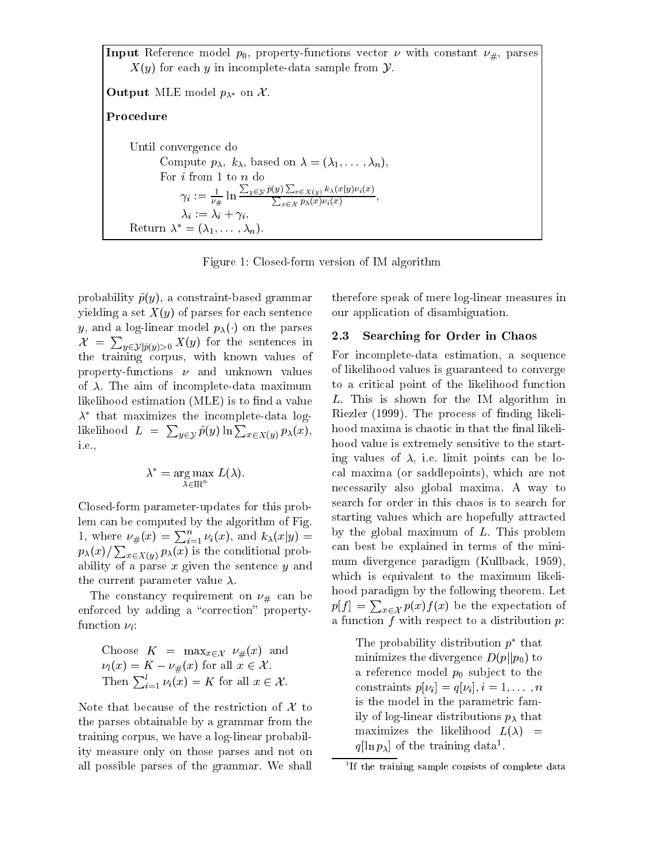In put a constant of the function  $p$  , property-functions vector  $\alpha$  with constant  $\alpha$   $\mu$  , parses (  $X(y)$  for each y in incomplete-data sample from  $\mathcal Y$ .

 $\sim$  deput  $\frac{1}{2}$  . The depth  $\frac{1}{2}$  on  $\frac{1}{2}$  . ProcedureUntil convergence do Compute  $p_{\lambda}, k_{\lambda}$ , based on  $\lambda = (\lambda_1, \ldots, \lambda_n)$ ,  $\gamma_i := \frac{1}{\nu_\#} \ln \frac{\sum_{y \in \mathcal{Y}} \tilde{p}(y) \sum_{x \in X(y)} k_\lambda(x|y) \nu_i(x)}{\sum_{x \in \mathcal{X}} p_\lambda(x) \nu_i(x)},$  $\lambda_i := \lambda_i + \gamma_i$ Return  $\lambda^* = (\lambda_1,\ldots,\lambda_n)$ .

Figure 1: Closed-form version of IM algorithm

probability  $\tilde{p}(y)$ , a constraint-based grammar yielding a set  $X(y)$  of parses for each sentence y, and a log-linear model  $p_{\lambda}(\cdot)$  on the parses 2.3  $\mathcal{X} = \sum_{y \in \mathcal{Y} \mid \tilde{p}(y) > 0} X(y)$  for the sentences in the training corpus, with known values of property-functions  $\nu$  and unknown values of  $\lambda$ . The aim of incomplete-data maximum likelihood estimation (MLE) is to find a value  $\lambda$  -that maximizes the incomplete-data loglikelihood  $L = \sum_{y \in \mathcal{Y}} \tilde{p}(y) \ln \sum_{x \in X(y)} p_{\lambda}(x)$ , h i.e.,

$$
\lambda^* = \arg \max_{\lambda \in \mathbb{R}^n} L(\lambda).
$$

Closed-form parameter-updates for this problem can be computed by the algorithm of Fig. 1, where  $\nu_{\#}(x) = \sum_{i=1}^{n} \nu_i(x)$ , and  $k_{\lambda}(x|y) = 0$  by the group  $p_{\lambda}(x)/\sum_{x\in X(y)} p_{\lambda}(x)$  is the conditional probability of a parse  $x$  given the sentence  $y$  and the current parameter value  $\lambda$ .<br>The constancy requirement on  $\nu_{\#}$  can be

enforced by adding a "correction" propertyfunction  $\nu$  :

Choose 
$$
K = \max_{x \in \mathcal{X}} \nu_{\#}(x)
$$
 and  
\n $\nu_l(x) = K - \nu_{\#}(x)$  for all  $x \in \mathcal{X}$ .  
\nThen  $\sum_{i=1}^{l} \nu_i(x) = K$  for all  $x \in \mathcal{X}$ .

Note that because of the restriction of  $\mathcal X$  to the parses obtainable by a grammar from the training corpus, we have a log-linear probability measure only on those parses and not on all possible parses of the grammar. We shall therefore speak of mere log-linear measures in our application of disambiguation.

### Searching for Order in Chaos

For incomplete-data estimation, a sequence of likelihood values is guaranteed to converge to a critical point of the likelihood function L. This is shown for the IM algorithm in Riezler (1999). The process of finding likelihood maxima is chaotic in that the final likelihood value is extremely sensitive to the starting values of  $\lambda$ , i.e. limit points can be local maxima (or saddlepoints), which are not necessarily also global maxima. A way to search for order in this chaos is to search for starting values which are hopefully attracted by the global maximum of  $L$ . This problem can best be explained in terms of the minimum divergence paradigm (Kullback, 1959), which is equivalent to the maximum likelihood paradigm by the following theorem. Let  $p[f] = \sum_{x \in \mathcal{X}} p(x) f(x)$  be the expectation of a function  $f$  with respect to a distribution  $p$ :

The probability distribution  $p$  that minimizes the divergence  $D(p||p_0)$  to a reference model  $p_0$  subject to the constraints  $p[\nu_i] = q[\nu_i], i = 1, \ldots, n$ is the model in the parametric family of log-linear distributions  $p_{\lambda}$  that maximizes the likelihood  $L(\lambda)$  =  $q_{\parallel}$ in  $p_{\lambda\parallel}$  of the training data .

<sup>1</sup> If the training sample consists of complete data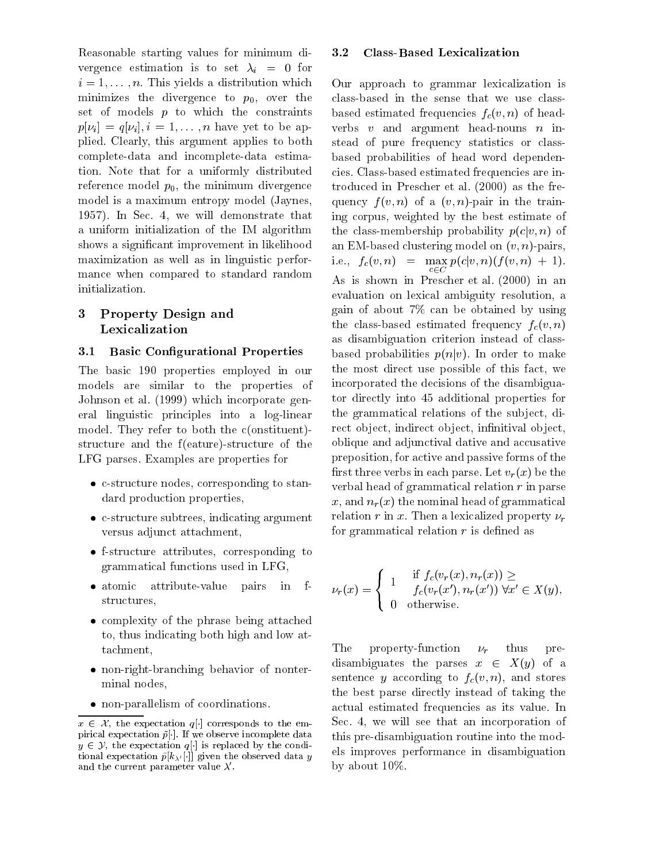Reasonable starting values for minimum divergence estimation is to set  $\lambda_i = 0$  for  $i = 1, \ldots, n$ . This yields a distribution which minimizes the divergence to  $p_0$ , over the set of models  $p$  to which the constraints  $p[\nu_i] = q[\nu_i], i = 1, \ldots, n$  have yet to be applied. Clearly, this argument applies to both complete-data and incomplete-data estimation. Note that for a uniformly distributed reference model  $p_0$ , the minimum divergence model is a maximum entropy model (Jaynes, 1957). In Sec. 4, we will demonstrate that a uniform initialization of the IM algorithm shows a signicant improvement in likelihood maximization as well as in linguistic performance when compared to standard random initialization.

### 3 Property Design and Lexicalization

#### 3.1**Basic Configurational Properties**

The basic 190 properties employed in our models are similar to the properties of Johnson et al. (1999) which incorporate general linguistic principles into a log-linear model. They refer to both the c(onstituent) structure and the f(eature)-structure of the LFG parses. Examples are properties for

- c-structure nodes, corresponding to standard production properties,
- c-structure subtrees, indicating argument versus adjunct attachment,
- f-structure attributes, corresponding to grammatical functions used in LFG,
- $\bullet$  atomic attribute-value pairs in  $-f$ structures,
- complexity of the phrase being attached to, thus indicating both high and low attachment,
- non-right-branching behavior of nonterminal nodes,
- non-parallelism of coordinations.

#### 3.2Class-Based Lexicalization

Our approach to grammar lexicalization is class-based in the sense that we use classbased estimated frequencies  $f_c(v, n)$  of headverbs  $v$  and argument head-nouns  $n$  instead of pure frequency statistics or classbased probabilities of head word dependencies. Class-based estimated frequencies are introduced in Prescher et al. (2000) as the frequency  $f(v, n)$  of a  $(v, n)$ -pair in the training corpus, weighted by the best estimate of the class-membership probability  $p(c|v, n)$  of an EM-based clustering model on  $(v, n)$ -pairs,  $P(\{v\}, v') = P(\{v\}, v')$  is the positive of  $\{v\}, v'$ .  $c{\in}C$ As is shown in Prescher et al. (2000) in an evaluation on lexical ambiguity resolution, a gain of about 7% canbe obtained by using the class-based estimated frequency  $f_c(v, n)$ as disambiguation criterion instead of classbased probabilities  $p(n|v)$ . In order to make the most direct use possible of this fact, we incorporated the decisions of the disambiguator directly into 45 additional properties for the grammatical relations of the sub ject, direct object, indirect object, infinitival object, oblique and adjunctival dative and accusative preposition, for active and passive forms of the first three verbs in each parse. Let  $v_r(x)$  be the verbal head of grammatical relation  $r$  in parse x, and  $n_r(x)$  the nominal head of grammatical relation r in x. Then a lexicalized property  $\nu_r$ for grammatical relation  $r$  is defined as

$$
\nu_r(x) = \begin{cases} 1 & \text{if } f_c(v_r(x), n_r(x)) \geq \\ 0 & \text{otherwise.} \end{cases}
$$
  
 
$$
\nu_r(x) = \begin{cases} 1 & f_c(v_r(x'), n_r(x')) \forall x' \in X(y), \\ 0 & \text{otherwise.} \end{cases}
$$

The property-function  $\nu_r$  thus predisambiguates the parses  $x \in X(y)$  of a sentence y according to  $f_c(v, n)$ , and stores the best parse directly instead of taking the actual estimated frequencies as its value. In Sec. 4, we will see that an incorporation of this pre-disambiguation routine into the models improves performance in disambiguation by about 10%.

 $x \in \mathcal{X}$ , the expectation q[.] corresponds to the empirical expectation  $p(\cdot)$ . If we observe incomplete data  $\cdot$  +  $\cdot$  +  $y \in \mathcal{Y}$ , the expectation  $q[\cdot]$  is replaced by the conditional expectation  $p_{[K_{\lambda'}]}$  || given the observed data  $y$ and the current parameter value  $\lambda$  .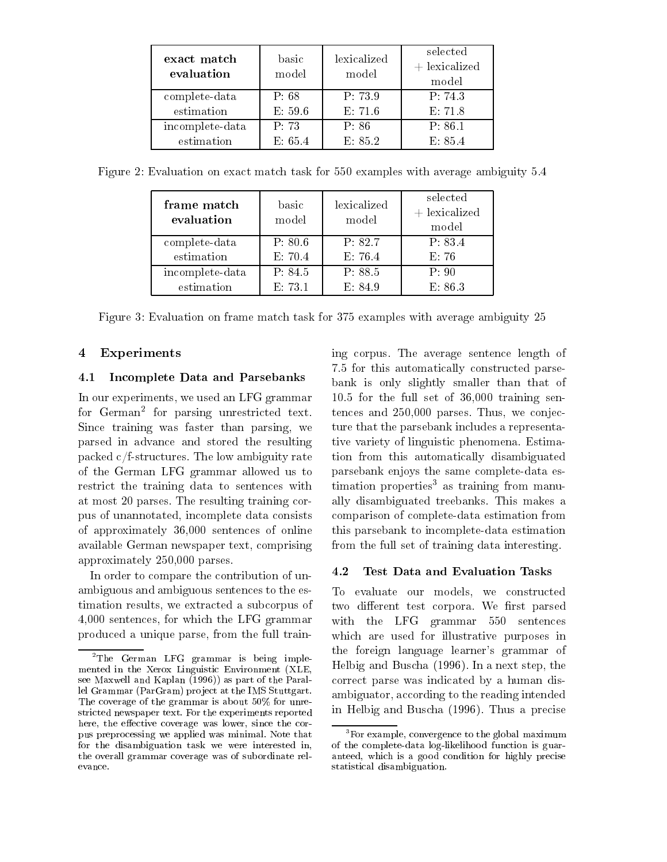| exact match<br>evaluation | basic<br>model | lexicalized<br>model | selected<br>$+$ lexicalized<br>model |
|---------------------------|----------------|----------------------|--------------------------------------|
| complete-data             | P.68           | P: 73.9              | P: 74.3                              |
| estimation                | E: 59.6        | E: 71.6              | E: 71.8                              |
| incomplete-data           | P: 73          | P: 86                | P: 86.1                              |
| estimation                | E: 65.4        | E: 85.2              | E: 85.4                              |

| frame match<br>evaluation | basic<br>model | lexicalized<br>model | selected<br>$+$ lexicalized<br>model |
|---------------------------|----------------|----------------------|--------------------------------------|
| complete-data             | P: 80.6        | P: 82.7              | P: 83.4                              |
| estimation                | E: 70.4        | E: 76.4              | E: 76                                |
| incomplete-data           | P: 84.5        | P: 88.5              | P: 90                                |
| estimation                | E: 73.1        | E: 84.9              | E: 86.3                              |

Figure 2: Evaluation on exact match task for 550 examples with average ambiguity 5.4

Figure 3: Evaluation on frame match task for 375 examples with average ambiguity 25

### 4 Experiments

#### 4.1Incomplete Data and Parsebanks

In our experiments, we used an LFG grammar for German for parsing unrestricted text. T Since training was faster than parsing, we parsed in advance and stored the resulting packed c/f-structures. The low ambiguity rate of the German LFG grammar allowed us to restrict the training data to sentences with at most 20 parses. The resulting training corpus of unannotated, incomplete data consists of approximately 36,000 sentences of online available German newspaper text, comprising approximately 250,000 parses.

In order to compare the contribution of unambiguous and ambiguous sentences to the estimation results, we extracted a subcorpus of 4,000 sentences, for which the LFG grammar produced a unique parse, from the full training corpus. The average sentence length of 7.5 for this automatically constructed parsebank is only slightly smaller than that of 10.5 for the full set of 36,000 training sentences and 250,000 parses. Thus, we conjecture that the parsebank includes a representative variety of linguistic phenomena. Estimation from this automatically disambiguated parsebank enjoys the same complete-data estimation properties<sup>3</sup> as training from manually disambiguated treebanks. This makes a comparison of complete-data estimation from this parsebank to incomplete-data estimation from the full set of training data interesting.

#### 4.2Test Data and Evaluation Tasks

 ambiguator, according to the reading intended To evaluate our models, we constructed two different test corpora. We first parsed with the LFG grammar 550 sentences which are used for illustrative purposes in the foreign language learner's grammar of Helbig and Buscha (1996). In a next step, the correct parse was indicated by a human disin Helbig and Buscha (1996). Thus a precise

The German LrG grammar is being implemented in the Xerox Linguistic Environment (XLE, see Maxwell and Kaplan (1996)) as part of the Parallel Grammar (ParGram) project at the IMS Stuttgart. The coverage of the grammar is about 50% for unrestricted newspaper text. For the experiments reportedhere, the eective coverage was lower, since the corpus preprocessing we applied was minimal. Note thatfor the disambiguation task we were interested in, the overall grammar coverage was of subordinate relevance.

and is a good condition for the sequence of  $\mathcal{A}$  and  $\mathcal{A}$  are  $\mathcal{A}$  and  $\mathcal{A}$  ,  $\mathcal{A}$  ,  $\mathcal{A}$  ,  $\mathcal{A}$  ,  $\mathcal{A}$  ,  $\mathcal{A}$  ,  $\mathcal{A}$  ,  $\mathcal{A}$  ,  $\mathcal{A}$  ,  $\mathcal{A}$  ,  $\mathcal{A}$  ,  $\mathcal{A}$  ,  $\mathcal{A$ 3For example, convergence to the global maximumof the complete-data log-likelihood function is guar statistical disambiguation.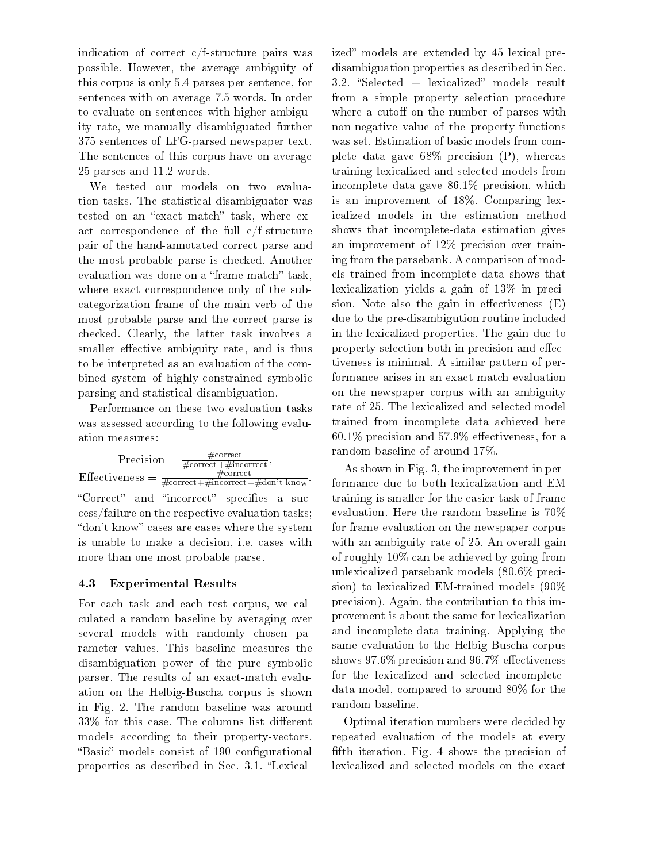indication of correct c/f-structure pairs was possible. However, the average ambiguity of this corpus is only 5.4 parses per sentence, for sentences with on average 7.5 words. In order to evaluate on sentences with higher ambiguity rate, we manually disambiguated further 375 sentences of LFG-parsed newspaper text. The sentences of this corpus have on average 25 parses and 11.2 words.

We tested our models on two evaluation tasks. The statistical disambiguator was tested on an "exact match" task, where exact correspondence of the full c/f-structure pair of the hand-annotated correct parse and the most probable parse is checked. Another evaluation was done on a "frame match" task, where exact correspondence only of the subcategorization frame of the main verb of the most probable parse and the correct parse is checked. Clearly, the latter task involves a smaller effective ambiguity rate, and is thus to be interpreted as an evaluation of the combined system of highly-constrained symbolic parsing and statistical disambiguation.

Performance on these two evaluation tasks was assessed according to the following evaluation measures:

 $Precision = \frac{m}{\#correct + \#incorrect}$ , Effectiveness  $=\frac{m}{\text{correct}+\text{#incorrect}+\text{#don't know}}$  form "Correct" and "incorrect" specifies a success/failure on the respective evaluation tasks; "don't know" cases are cases where the system is unable to make a decision, i.e. cases with more than one most probable parse.

#### 4.3Experimental Results

For each task and each test corpus, we calculated a random baseline by averaging over several models with randomly chosen parameter values. This baseline measures the disambiguation power of the pure symbolic parser. The results of an exact-match evaluation on the Helbig-Buscha corpus is shown in Fig. 2. The random baseline was around  $33\%$  for this case. The columns list different models according to their property-vectors. "Basic" models consist of 190 configurational properties as described in Sec. 3.1. "Lexicalized" models are extended by 45 lexical predisambiguation properties as described in Sec.  $3.2.$  "Selected + lexicalized" models result from a simple property selection procedure where a cutoff on the number of parses with non-negative value of the property-functions was set. Estimation of basic models from complete data gave 68% precision (P), whereas training lexicalized and selected models from incomplete data gave 86.1% precision, which is an improvement of 18%. Comparing lexicalized models in the estimation method shows that incomplete-data estimation gives an improvement of 12% precision over training from the parsebank. A comparison of models trained from incomplete data shows that lexicalization yields a gain of 13% in precision. Note also the gain in effectiveness  $(E)$ due to the pre-disambigution routine included in the lexicalized properties. The gain due to property selection both in precision and effectiveness is minimal. A similar pattern of performance arises in an exact match evaluation on the newspaper corpus with an ambiguity rate of 25. The lexicalized and selected model trained from incomplete data achieved here  $60.1\%$  precision and  $57.9\%$  effectiveness, for a random baseline of around 17%.

As shown in Fig. 3, the improvement in performance due to both lexicalization and EM training is smaller for the easier task of frame evaluation. Here the random baseline is 70% for frame evaluation on the newspaper corpus with an ambiguity rate of 25. An overall gain of roughly 10% can be achieved by going from unlexicalized parsebank models (80.6% precision) to lexicalized EM-trained models (90% precision). Again, the contribution to this improvement is about the same for lexicalization and incomplete-data training. Applying the same evaluation to the Helbig-Buscha corpus shows 97.6% precision and 96.7% effectiveness for the lexicalized and selected incompletedata model, compared to around 80% for the random baseline.

Optimal iteration numbers were decided by repeated evaluation of the models at every fifth iteration. Fig. 4 shows the precision of lexicalized and selected models on the exact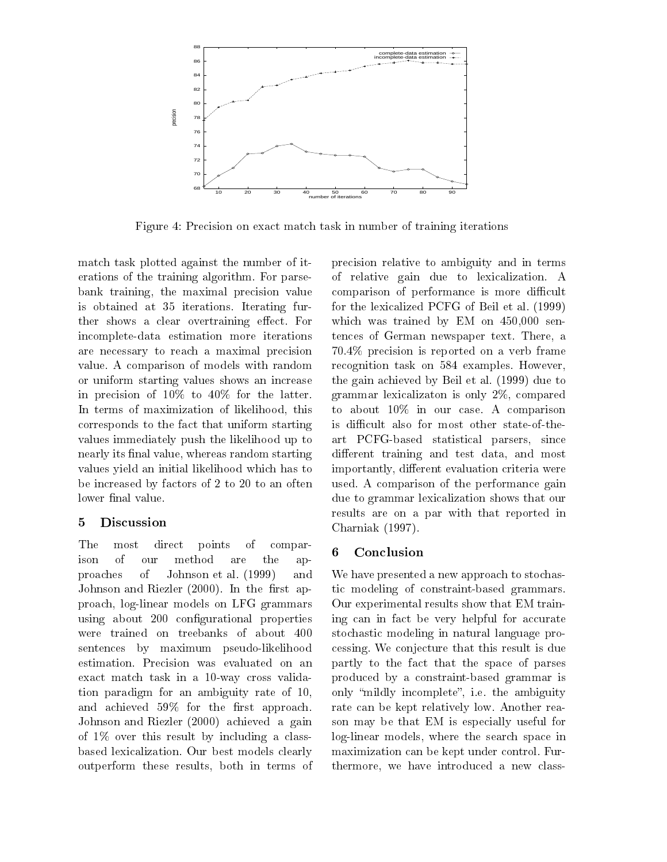

Figure 4: Precision on exact match task in number of training iterations

match task plotted against the number of iterations of the training algorithm. For parsebank training, the maximal precision value is obtained at 35 iterations. Iterating further shows a clear overtraining effect. For incomplete-data estimation more iterations are necessary to reach a maximal precision value. A comparison of models with random or uniform starting values shows an increase in precision of 10% to 40% for the latter. In terms of maximization of likelihood, this corresponds to the fact that uniform starting values immediately push the likelihood up to nearly its final value, whereas random starting values yield an initial likelihood which has to be increased by factors of 2 to 20 to an often lower final value.

## 5 Discussion

The most direct points of comparison  $\sigma$ f ison of our method are the approaches of Johnson et al. (1999) and Johnson and Riezler  $(2000)$ . In the first approach, log-linear models on LFG grammars using about 200 configurational properties were trained on treebanks of about 400 sentences by maximum pseudo-likelihood estimation. Precision was evaluated on an exact match task in a 10-way cross validation paradigm for an ambiguity rate of 10, and achieved 59% for the first approach. Johnson and Riezler (2000) achieved a gain of 1% over this result by including a classbased lexicalization. Our best models clearly outperform these results, both in terms of

precision relative to ambiguity and in terms of relative gain due to lexicalization. A comparison of performance is more difficult for the lexicalized PCFG of Beil et al. (1999) which was trained by EM on  $450,000$  sentences of German newspaper text. There, a 70.4% precision is reported on a verb frame recognition task on 584 examples. However, the gain achieved by Beil et al. (1999) due to grammar lexicalizaton is only  $2\%$ , compared to about 10% in our case. A comparison is difficult also for most other state-of-theart PCFG-based statistical parsers, since different training and test data, and most importantly, different evaluation criteria were used. A comparison of the performance gain due to grammar lexicalization shows that our results are on a par with that reported in Charniak (1997).

## 6 Conclusion

We have presented a new approach to stochastic modeling of constraint-based grammars. Our experimental results show that EM training can in fact be very helpful for accurate stochastic modeling in natural language processing. We conjecture that this result is due partly to the fact that the space of parses produced by a constraint-based grammar is only "mildly incomplete", i.e. the ambiguity rate can be kept relatively low. Another reason may be that EM is especially useful for log-linear models, where the search space in maximization can be kept under control. Furthermore, we have introduced a new class